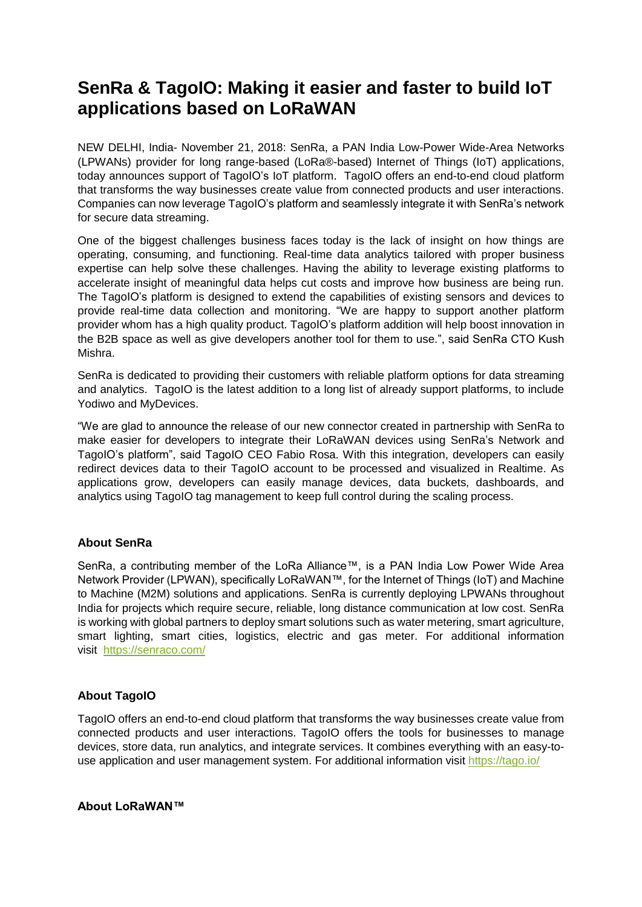# **SenRa & TagoIO: Making it easier and faster to build IoT applications based on LoRaWAN**

NEW DELHI, India- November 21, 2018: SenRa, a PAN India Low-Power Wide-Area Networks (LPWANs) provider for long range-based (LoRa®-based) Internet of Things (IoT) applications, today announces support of TagoIO's IoT platform. TagoIO offers an end-to-end cloud platform that transforms the way businesses create value from connected products and user interactions. Companies can now leverage TagoIO's platform and seamlessly integrate it with SenRa's network for secure data streaming.

One of the biggest challenges business faces today is the lack of insight on how things are operating, consuming, and functioning. Real-time data analytics tailored with proper business expertise can help solve these challenges. Having the ability to leverage existing platforms to accelerate insight of meaningful data helps cut costs and improve how business are being run. The TagoIO's platform is designed to extend the capabilities of existing sensors and devices to provide real-time data collection and monitoring. "We are happy to support another platform provider whom has a high quality product. TagoIO's platform addition will help boost innovation in the B2B space as well as give developers another tool for them to use.", said SenRa CTO Kush Mishra.

SenRa is dedicated to providing their customers with reliable platform options for data streaming and analytics. TagoIO is the latest addition to a long list of already support platforms, to include Yodiwo and MyDevices.

"We are glad to announce the release of our new connector created in partnership with SenRa to make easier for developers to integrate their LoRaWAN devices using SenRa's Network and TagoIO's platform", said TagoIO CEO Fabio Rosa. With this integration, developers can easily redirect devices data to their TagoIO account to be processed and visualized in Realtime. As applications grow, developers can easily manage devices, data buckets, dashboards, and analytics using TagoIO tag management to keep full control during the scaling process.

## **About SenRa**

SenRa, a contributing member of the LoRa Alliance™, is a PAN India Low Power Wide Area Network Provider (LPWAN), specifically LoRaWAN™, for the Internet of Things (IoT) and Machine to Machine (M2M) solutions and applications. SenRa is currently deploying LPWANs throughout India for projects which require secure, reliable, long distance communication at low cost. SenRa is working with global partners to deploy smart solutions such as water metering, smart agriculture, smart lighting, smart cities, logistics, electric and gas meter. For additional information visit <https://senraco.com/>

## **About TagoIO**

TagoIO offers an end-to-end cloud platform that transforms the way businesses create value from connected products and user interactions. TagoIO offers the tools for businesses to manage devices, store data, run analytics, and integrate services. It combines everything with an easy-touse application and user management system. For additional information visit <https://tago.io/>

### **About LoRaWAN™**